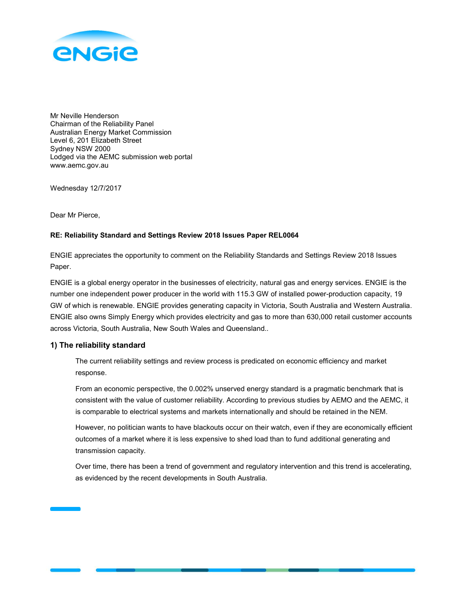

Mr Neville Henderson Chairman of the Reliability Panel Australian Energy Market Commission Level 6, 201 Elizabeth Street Sydney NSW 2000 Lodged via the AEMC submission web portal www.aemc.gov.au

Wednesday 12/7/2017

Dear Mr Pierce,

# RE: Reliability Standard and Settings Review 2018 Issues Paper REL0064

ENGIE appreciates the opportunity to comment on the Reliability Standards and Settings Review 2018 Issues Paper.

ENGIE is a global energy operator in the businesses of electricity, natural gas and energy services. ENGIE is the number one independent power producer in the world with 115.3 GW of installed power-production capacity, 19 GW of which is renewable. ENGIE provides generating capacity in Victoria, South Australia and Western Australia. ENGIE also owns Simply Energy which provides electricity and gas to more than 630,000 retail customer accounts across Victoria, South Australia, New South Wales and Queensland..

# 1) The reliability standard

The current reliability settings and review process is predicated on economic efficiency and market response.

From an economic perspective, the 0.002% unserved energy standard is a pragmatic benchmark that is consistent with the value of customer reliability. According to previous studies by AEMO and the AEMC, it is comparable to electrical systems and markets internationally and should be retained in the NEM.

However, no politician wants to have blackouts occur on their watch, even if they are economically efficient outcomes of a market where it is less expensive to shed load than to fund additional generating and transmission capacity.

Over time, there has been a trend of government and regulatory intervention and this trend is accelerating, as evidenced by the recent developments in South Australia.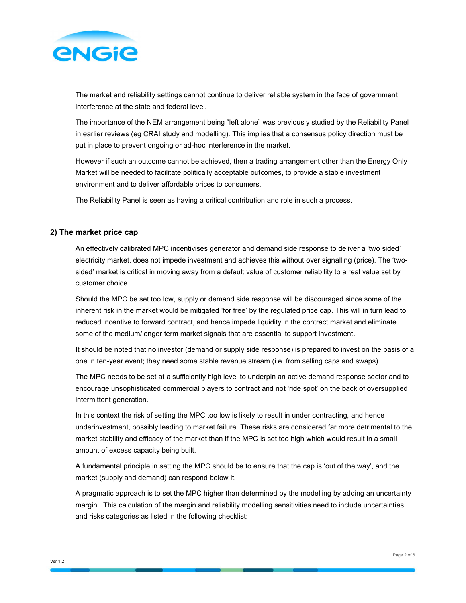

The market and reliability settings cannot continue to deliver reliable system in the face of government interference at the state and federal level.

The importance of the NEM arrangement being "left alone" was previously studied by the Reliability Panel in earlier reviews (eg CRAI study and modelling). This implies that a consensus policy direction must be put in place to prevent ongoing or ad-hoc interference in the market.

However if such an outcome cannot be achieved, then a trading arrangement other than the Energy Only Market will be needed to facilitate politically acceptable outcomes, to provide a stable investment environment and to deliver affordable prices to consumers.

The Reliability Panel is seen as having a critical contribution and role in such a process.

## 2) The market price cap

An effectively calibrated MPC incentivises generator and demand side response to deliver a 'two sided' electricity market, does not impede investment and achieves this without over signalling (price). The 'twosided' market is critical in moving away from a default value of customer reliability to a real value set by customer choice.

Should the MPC be set too low, supply or demand side response will be discouraged since some of the inherent risk in the market would be mitigated 'for free' by the regulated price cap. This will in turn lead to reduced incentive to forward contract, and hence impede liquidity in the contract market and eliminate some of the medium/longer term market signals that are essential to support investment.

It should be noted that no investor (demand or supply side response) is prepared to invest on the basis of a one in ten-year event; they need some stable revenue stream (i.e. from selling caps and swaps).

The MPC needs to be set at a sufficiently high level to underpin an active demand response sector and to encourage unsophisticated commercial players to contract and not 'ride spot' on the back of oversupplied intermittent generation.

In this context the risk of setting the MPC too low is likely to result in under contracting, and hence underinvestment, possibly leading to market failure. These risks are considered far more detrimental to the market stability and efficacy of the market than if the MPC is set too high which would result in a small amount of excess capacity being built.

A fundamental principle in setting the MPC should be to ensure that the cap is 'out of the way', and the market (supply and demand) can respond below it.

A pragmatic approach is to set the MPC higher than determined by the modelling by adding an uncertainty margin. This calculation of the margin and reliability modelling sensitivities need to include uncertainties and risks categories as listed in the following checklist: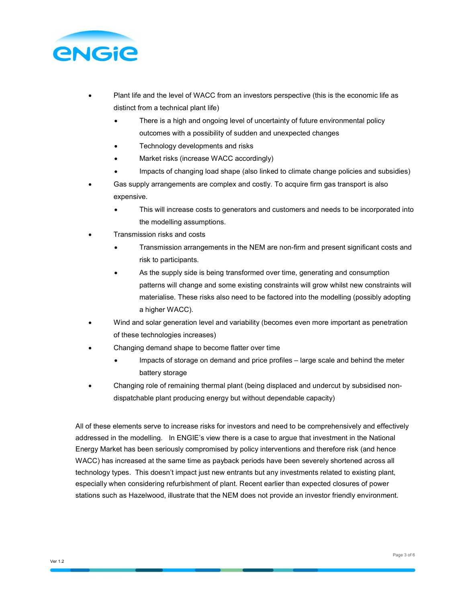

- Plant life and the level of WACC from an investors perspective (this is the economic life as distinct from a technical plant life)
	- There is a high and ongoing level of uncertainty of future environmental policy outcomes with a possibility of sudden and unexpected changes
	- Technology developments and risks
	- Market risks (increase WACC accordingly)
	- Impacts of changing load shape (also linked to climate change policies and subsidies)
- Gas supply arrangements are complex and costly. To acquire firm gas transport is also expensive.
	- This will increase costs to generators and customers and needs to be incorporated into the modelling assumptions.
- Transmission risks and costs
	- Transmission arrangements in the NEM are non-firm and present significant costs and risk to participants.
	- As the supply side is being transformed over time, generating and consumption patterns will change and some existing constraints will grow whilst new constraints will materialise. These risks also need to be factored into the modelling (possibly adopting a higher WACC).
- Wind and solar generation level and variability (becomes even more important as penetration of these technologies increases)
- Changing demand shape to become flatter over time
	- Impacts of storage on demand and price profiles large scale and behind the meter battery storage
- Changing role of remaining thermal plant (being displaced and undercut by subsidised nondispatchable plant producing energy but without dependable capacity)

All of these elements serve to increase risks for investors and need to be comprehensively and effectively addressed in the modelling. In ENGIE's view there is a case to argue that investment in the National Energy Market has been seriously compromised by policy interventions and therefore risk (and hence WACC) has increased at the same time as payback periods have been severely shortened across all technology types. This doesn't impact just new entrants but any investments related to existing plant, especially when considering refurbishment of plant. Recent earlier than expected closures of power stations such as Hazelwood, illustrate that the NEM does not provide an investor friendly environment.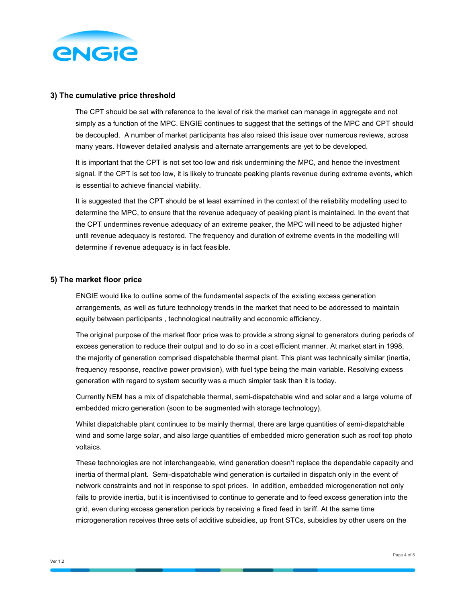

### 3) The cumulative price threshold

The CPT should be set with reference to the level of risk the market can manage in aggregate and not simply as a function of the MPC. ENGIE continues to suggest that the settings of the MPC and CPT should be decoupled. A number of market participants has also raised this issue over numerous reviews, across many years. However detailed analysis and alternate arrangements are yet to be developed.

It is important that the CPT is not set too low and risk undermining the MPC, and hence the investment signal. If the CPT is set too low, it is likely to truncate peaking plants revenue during extreme events, which is essential to achieve financial viability.

It is suggested that the CPT should be at least examined in the context of the reliability modelling used to determine the MPC, to ensure that the revenue adequacy of peaking plant is maintained. In the event that the CPT undermines revenue adequacy of an extreme peaker, the MPC will need to be adjusted higher until revenue adequacy is restored. The frequency and duration of extreme events in the modelling will determine if revenue adequacy is in fact feasible.

# 5) The market floor price

ENGIE would like to outline some of the fundamental aspects of the existing excess generation arrangements, as well as future technology trends in the market that need to be addressed to maintain equity between participants , technological neutrality and economic efficiency.

The original purpose of the market floor price was to provide a strong signal to generators during periods of excess generation to reduce their output and to do so in a cost efficient manner. At market start in 1998, the majority of generation comprised dispatchable thermal plant. This plant was technically similar (inertia, frequency response, reactive power provision), with fuel type being the main variable. Resolving excess generation with regard to system security was a much simpler task than it is today.

Currently NEM has a mix of dispatchable thermal, semi-dispatchable wind and solar and a large volume of embedded micro generation (soon to be augmented with storage technology).

Whilst dispatchable plant continues to be mainly thermal, there are large quantities of semi-dispatchable wind and some large solar, and also large quantities of embedded micro generation such as roof top photo voltaics.

These technologies are not interchangeable, wind generation doesn't replace the dependable capacity and inertia of thermal plant. Semi-dispatchable wind generation is curtailed in dispatch only in the event of network constraints and not in response to spot prices. In addition, embedded microgeneration not only fails to provide inertia, but it is incentivised to continue to generate and to feed excess generation into the grid, even during excess generation periods by receiving a fixed feed in tariff. At the same time microgeneration receives three sets of additive subsidies, up front STCs, subsidies by other users on the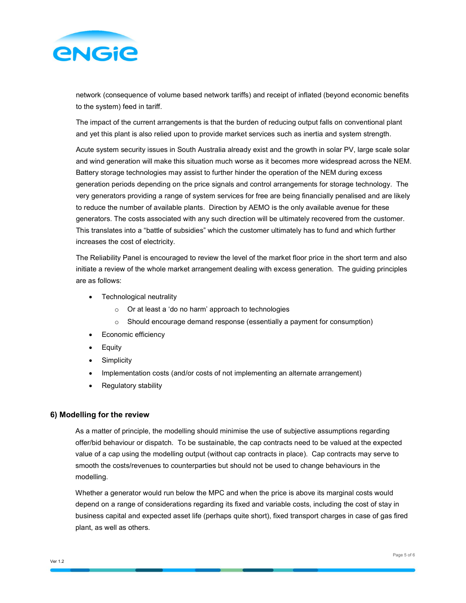

network (consequence of volume based network tariffs) and receipt of inflated (beyond economic benefits to the system) feed in tariff.

The impact of the current arrangements is that the burden of reducing output falls on conventional plant and yet this plant is also relied upon to provide market services such as inertia and system strength.

Acute system security issues in South Australia already exist and the growth in solar PV, large scale solar and wind generation will make this situation much worse as it becomes more widespread across the NEM. Battery storage technologies may assist to further hinder the operation of the NEM during excess generation periods depending on the price signals and control arrangements for storage technology. The very generators providing a range of system services for free are being financially penalised and are likely to reduce the number of available plants. Direction by AEMO is the only available avenue for these generators. The costs associated with any such direction will be ultimately recovered from the customer. This translates into a "battle of subsidies" which the customer ultimately has to fund and which further increases the cost of electricity.

The Reliability Panel is encouraged to review the level of the market floor price in the short term and also initiate a review of the whole market arrangement dealing with excess generation. The guiding principles are as follows:

- Technological neutrality
	- o Or at least a 'do no harm' approach to technologies
	- o Should encourage demand response (essentially a payment for consumption)
- Economic efficiency
- Equity
- **Simplicity**
- Implementation costs (and/or costs of not implementing an alternate arrangement)
- Regulatory stability

# 6) Modelling for the review

As a matter of principle, the modelling should minimise the use of subjective assumptions regarding offer/bid behaviour or dispatch. To be sustainable, the cap contracts need to be valued at the expected value of a cap using the modelling output (without cap contracts in place). Cap contracts may serve to smooth the costs/revenues to counterparties but should not be used to change behaviours in the modelling.

Whether a generator would run below the MPC and when the price is above its marginal costs would depend on a range of considerations regarding its fixed and variable costs, including the cost of stay in business capital and expected asset life (perhaps quite short), fixed transport charges in case of gas fired plant, as well as others.